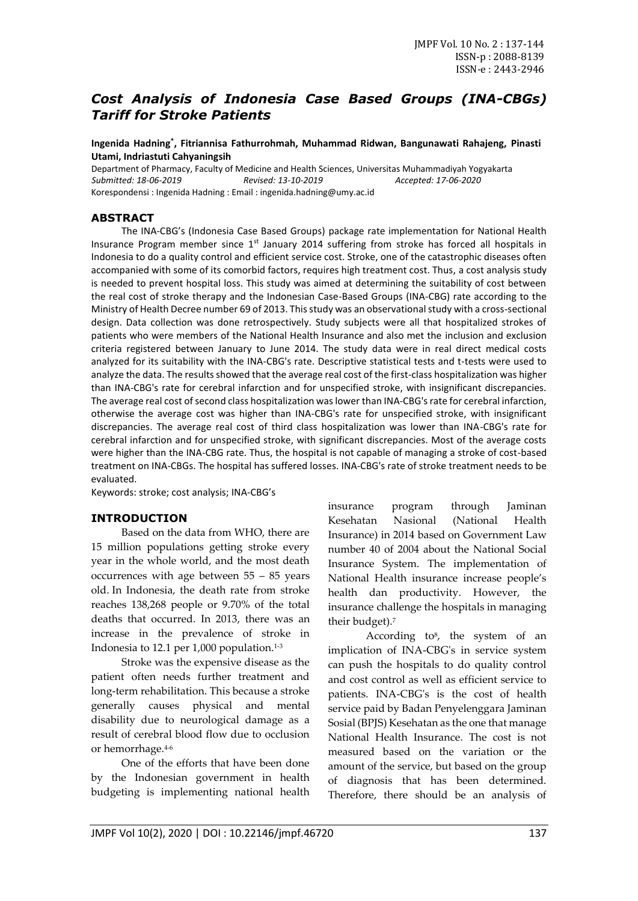# *Cost Analysis of Indonesia Case Based Groups (INA-CBGs) Tariff for Stroke Patients*

**Ingenida Hadning\* , Fitriannisa Fathurrohmah, Muhammad Ridwan, Bangunawati Rahajeng, Pinasti Utami, Indriastuti Cahyaningsih**

Department of Pharmacy, Faculty of Medicine and Health Sciences, Universitas Muhammadiyah Yogyakarta *Submitted: 18-06-2019 Revised: 13-10-2019 Accepted: 17-06-2020* Korespondensi : Ingenida Hadning : Email : ingenida.hadning@umy.ac.id

#### **ABSTRACT**

The INA-CBG's (Indonesia Case Based Groups) package rate implementation for National Health Insurance Program member since 1<sup>st</sup> January 2014 suffering from stroke has forced all hospitals in Indonesia to do a quality control and efficient service cost. Stroke, one of the catastrophic diseases often accompanied with some of its comorbid factors, requires high treatment cost. Thus, a cost analysis study is needed to prevent hospital loss. This study was aimed at determining the suitability of cost between the real cost of stroke therapy and the Indonesian Case-Based Groups (INA-CBG) rate according to the Ministry of Health Decree number 69 of 2013. This study was an observational study with a cross-sectional design. Data collection was done retrospectively. Study subjects were all that hospitalized strokes of patients who were members of the National Health Insurance and also met the inclusion and exclusion criteria registered between January to June 2014. The study data were in real direct medical costs analyzed for its suitability with the INA-CBG's rate. Descriptive statistical tests and t-tests were used to analyze the data. The results showed that the average real cost of the first-class hospitalization was higher than INA-CBG's rate for cerebral infarction and for unspecified stroke, with insignificant discrepancies. The average real cost of second class hospitalization was lower than INA-CBG's rate for cerebral infarction, otherwise the average cost was higher than INA-CBG's rate for unspecified stroke, with insignificant discrepancies. The average real cost of third class hospitalization was lower than INA-CBG's rate for cerebral infarction and for unspecified stroke, with significant discrepancies. Most of the average costs were higher than the INA-CBG rate. Thus, the hospital is not capable of managing a stroke of cost-based treatment on INA-CBGs. The hospital has suffered losses. INA-CBG's rate of stroke treatment needs to be evaluated.

Keywords: stroke; cost analysis; INA-CBG's

#### **INTRODUCTION**

Based on the data from WHO, there are 15 million populations getting stroke every year in the whole world, and the most death occurrences with age between 55 – 85 years old. In Indonesia, the death rate from stroke reaches 138,268 people or 9.70% of the total deaths that occurred. In 2013, there was an increase in the prevalence of stroke in Indonesia to 12.1 per  $1,000$  population.<sup>1-3</sup>

Stroke was the expensive disease as the patient often needs further treatment and long-term rehabilitation. This because a stroke generally causes physical and mental disability due to neurological damage as a result of cerebral blood flow due to occlusion or hemorrhage.4-6

One of the efforts that have been done by the Indonesian government in health budgeting is implementing national health insurance program through Jaminan Kesehatan Nasional (National Health Insurance) in 2014 based on Government Law number 40 of 2004 about the National Social Insurance System. The implementation of National Health insurance increase people's health dan productivity. However, the insurance challenge the hospitals in managing their budget).<sup>7</sup>

According to<sup>8</sup> , the system of an implication of INA-CBG's in service system can push the hospitals to do quality control and cost control as well as efficient service to patients. INA-CBG's is the cost of health service paid by Badan Penyelenggara Jaminan Sosial (BPJS) Kesehatan as the one that manage National Health Insurance. The cost is not measured based on the variation or the amount of the service, but based on the group of diagnosis that has been determined. Therefore, there should be an analysis of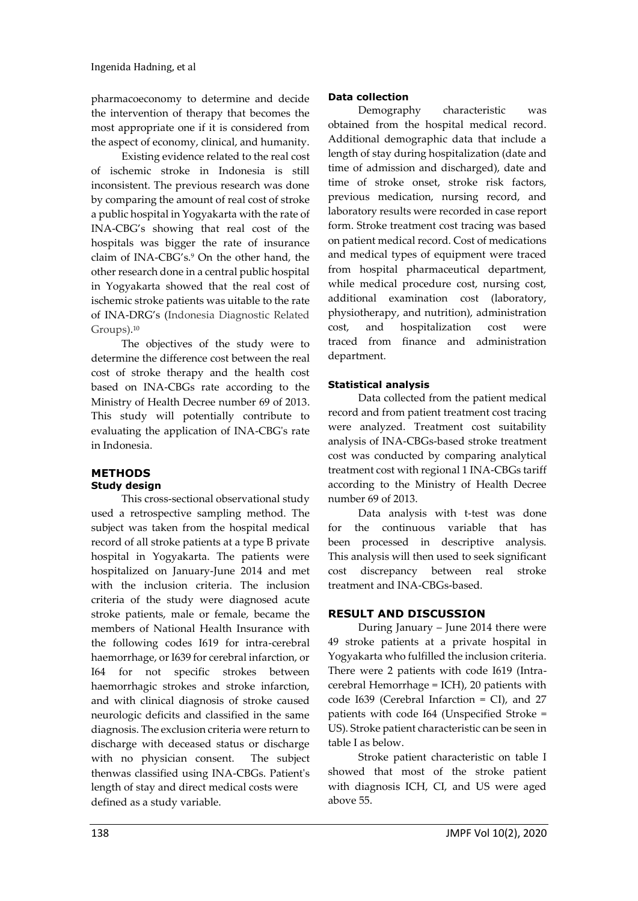pharmacoeconomy to determine and decide the intervention of therapy that becomes the most appropriate one if it is considered from the aspect of economy, clinical, and humanity.

Existing evidence related to the real cost of ischemic stroke in Indonesia is still inconsistent. The previous research was done by comparing the amount of real cost of stroke a public hospital in Yogyakarta with the rate of INA-CBG's showing that real cost of the hospitals was bigger the rate of insurance claim of INA-CBG's.<sup>9</sup> On the other hand, the other research done in a central public hospital in Yogyakarta showed that the real cost of ischemic stroke patients was uitable to the rate of INA-DRG's (Indonesia Diagnostic Related Groups). 10

The objectives of the study were to determine the difference cost between the real cost of stroke therapy and the health cost based on INA-CBGs rate according to the Ministry of Health Decree number 69 of 2013. This study will potentially contribute to evaluating the application of INA-CBG's rate in Indonesia.

#### **METHODS Study design**

This cross-sectional observational study used a retrospective sampling method. The subject was taken from the hospital medical record of all stroke patients at a type B private hospital in Yogyakarta. The patients were hospitalized on January-June 2014 and met with the inclusion criteria. The inclusion criteria of the study were diagnosed acute stroke patients, male or female, became the members of National Health Insurance with the following codes I619 for intra-cerebral haemorrhage, or I639 for cerebral infarction, or I64 for not specific strokes between haemorrhagic strokes and stroke infarction, and with clinical diagnosis of stroke caused neurologic deficits and classified in the same diagnosis. The exclusion criteria were return to discharge with deceased status or discharge with no physician consent. The subject thenwas classified using INA-CBGs. Patient's length of stay and direct medical costs were defined as a study variable.

# **Data collection**

Demography characteristic was obtained from the hospital medical record. Additional demographic data that include a length of stay during hospitalization (date and time of admission and discharged), date and time of stroke onset, stroke risk factors, previous medication, nursing record, and laboratory results were recorded in case report form. Stroke treatment cost tracing was based on patient medical record. Cost of medications and medical types of equipment were traced from hospital pharmaceutical department, while medical procedure cost, nursing cost, additional examination cost (laboratory, physiotherapy, and nutrition), administration cost, and hospitalization cost were traced from finance and administration department.

# **Statistical analysis**

Data collected from the patient medical record and from patient treatment cost tracing were analyzed. Treatment cost suitability analysis of INA-CBGs-based stroke treatment cost was conducted by comparing analytical treatment cost with regional 1 INA-CBGs tariff according to the Ministry of Health Decree number 69 of 2013.

Data analysis with t-test was done for the continuous variable that has been processed in descriptive analysis. This analysis will then used to seek significant cost discrepancy between real stroke treatment and INA-CBGs-based.

# **RESULT AND DISCUSSION**

During January – June 2014 there were 49 stroke patients at a private hospital in Yogyakarta who fulfilled the inclusion criteria. There were 2 patients with code I619 (Intracerebral Hemorrhage = ICH), 20 patients with code I639 (Cerebral Infarction = CI), and 27 patients with code I64 (Unspecified Stroke = US). Stroke patient characteristic can be seen in table I as below.

Stroke patient characteristic on table I showed that most of the stroke patient with diagnosis ICH, CI, and US were aged above 55.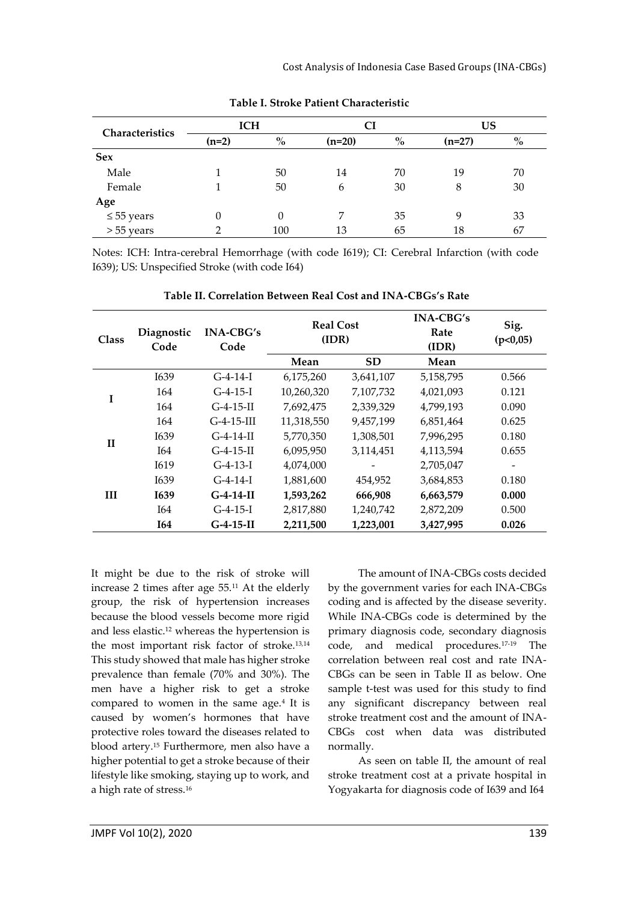| Characteristics |         | <b>ICH</b> |          | CI   |          | US                                 |  |
|-----------------|---------|------------|----------|------|----------|------------------------------------|--|
|                 | $(n=2)$ | $\%$       | $(n=20)$ | $\%$ | $(n=27)$ | $\mathbf{0}_{\mathbf{0}}^{\prime}$ |  |
| <b>Sex</b>      |         |            |          |      |          |                                    |  |
| Male            |         | 50         | 14       | 70   | 19       | 70                                 |  |
| Female          |         | 50         | 6        | 30   | 8        | 30                                 |  |
| Age             |         |            |          |      |          |                                    |  |
| $\leq 55$ years |         | 0          |          | 35   | 9        | 33                                 |  |
| $> 55$ years    |         | 100        | 13       | 65   | 18       | 67                                 |  |

**Table I. Stroke Patient Characteristic**

Notes: ICH: Intra-cerebral Hemorrhage (with code I619); CI: Cerebral Infarction (with code I639); US: Unspecified Stroke (with code I64)

| <b>Class</b> | Diagnostic<br>Code | <b>INA-CBG's</b><br>Code | <b>Real Cost</b><br>(IDR) |           | $INA-CBG's$<br>Rate<br>(IDR) | Sig.<br>(p<0,05) |
|--------------|--------------------|--------------------------|---------------------------|-----------|------------------------------|------------------|
|              |                    |                          | Mean                      | <b>SD</b> | Mean                         |                  |
|              | <b>I639</b>        | $G-4-14-I$               | 6,175,260                 | 3,641,107 | 5,158,795                    | 0.566            |
| I            | 164                | $G-4-15-I$               | 10,260,320                | 7,107,732 | 4,021,093                    | 0.121            |
|              | 164                | $G-4-15-II$              | 7,692,475                 | 2,339,329 | 4,799,193                    | 0.090            |
|              | 164                | $G-4-15-III$             | 11,318,550                | 9,457,199 | 6,851,464                    | 0.625            |
| $\mathbf{I}$ | I639               | $G-4-14-II$              | 5,770,350                 | 1,308,501 | 7,996,295                    | 0.180            |
|              | <b>I64</b>         | $G-4-15-II$              | 6,095,950                 | 3,114,451 | 4,113,594                    | 0.655            |
|              | I619               | $G-4-13-I$               | 4,074,000                 |           | 2,705,047                    |                  |
|              | I639               | $G-4-14-I$               | 1,881,600                 | 454,952   | 3,684,853                    | 0.180            |
| Ш            | I639               | $G-4-14-II$              | 1,593,262                 | 666,908   | 6,663,579                    | 0.000            |
|              | <b>I64</b>         | $G-4-15-I$               | 2,817,880                 | 1,240,742 | 2,872,209                    | 0.500            |
|              | <b>I64</b>         | $G-4-15-II$              | 2,211,500                 | 1,223,001 | 3,427,995                    | 0.026            |

**Table II. Correlation Between Real Cost and INA-CBGs's Rate**

It might be due to the risk of stroke will increase 2 times after age 55.<sup>11</sup> At the elderly group, the risk of hypertension increases because the blood vessels become more rigid and less elastic.<sup>12</sup> whereas the hypertension is the most important risk factor of stroke.13,14 This study showed that male has higher stroke prevalence than female (70% and 30%). The men have a higher risk to get a stroke compared to women in the same age.<sup>4</sup> It is caused by women's hormones that have protective roles toward the diseases related to blood artery.<sup>15</sup> Furthermore, men also have a higher potential to get a stroke because of their lifestyle like smoking, staying up to work, and a high rate of stress.<sup>16</sup>

The amount of INA-CBGs costs decided by the government varies for each INA-CBGs coding and is affected by the disease severity. While INA-CBGs code is determined by the primary diagnosis code, secondary diagnosis code, and medical procedures.17-19 The correlation between real cost and rate INA-CBGs can be seen in Table II as below. One sample t-test was used for this study to find any significant discrepancy between real stroke treatment cost and the amount of INA-CBGs cost when data was distributed normally.

As seen on table II, the amount of real stroke treatment cost at a private hospital in Yogyakarta for diagnosis code of I639 and I64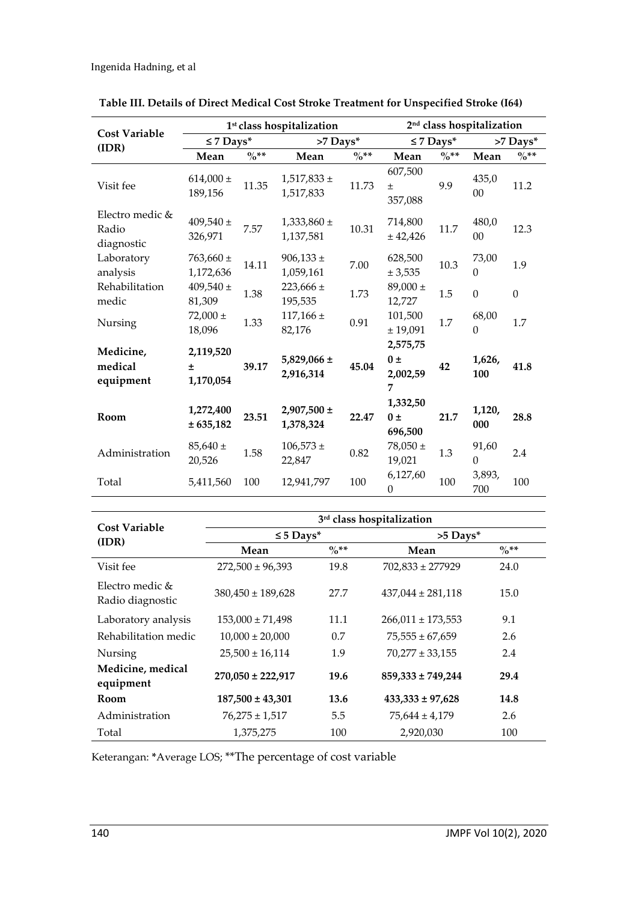|                                        |                             | 1st class hospitalization |                              |                  |                                      | 2 <sup>nd</sup> class hospitalization |                   |               |  |
|----------------------------------------|-----------------------------|---------------------------|------------------------------|------------------|--------------------------------------|---------------------------------------|-------------------|---------------|--|
| <b>Cost Variable</b><br>(IDR)          | $\leq$ 7 Days*              | >7 Days*                  |                              |                  | $\leq$ 7 Days*                       |                                       | >7 Days*          |               |  |
|                                        | Mean                        | $^{0}/_{0}**$             | Mean                         | $\frac{0}{0}$ ** | Mean                                 | $\frac{0}{0}$ **                      | Mean              | $^{0}/_{0}**$ |  |
| Visit fee                              | $614,000 \pm$<br>189,156    | 11.35                     | $1,517,833 \pm$<br>1,517,833 | 11.73            | 607,500<br>$\pm$<br>357,088          | 9.9                                   | 435,0<br>00       | 11.2          |  |
| Electro medic &<br>Radio<br>diagnostic | $409,540 \pm$<br>326,971    | 7.57                      | $1,333,860 \pm$<br>1,137,581 | 10.31            | 714,800<br>± 42,426                  | 11.7                                  | 480,0<br>00       | 12.3          |  |
| Laboratory<br>analysis                 | $763,660 \pm$<br>1,172,636  | 14.11                     | $906,133 \pm$<br>1,059,161   | 7.00             | 628,500<br>± 3,535                   | 10.3                                  | 73,00<br>$\Omega$ | 1.9           |  |
| Rehabilitation<br>medic                | 409,540 $\pm$<br>81,309     | 1.38                      | $223,666 \pm$<br>195,535     | 1.73             | $89,000 \pm$<br>12,727               | 1.5                                   | $\mathbf{0}$      | $\theta$      |  |
| Nursing                                | $72,000 \pm$<br>18,096      | 1.33                      | $117,166 \pm$<br>82,176      | 0.91             | 101,500<br>± 19,091                  | 1.7                                   | 68,00<br>$\theta$ | 1.7           |  |
| Medicine,<br>medical<br>equipment      | 2,119,520<br>±<br>1,170,054 | 39.17                     | $5,829,066 \pm$<br>2,916,314 | 45.04            | 2,575,75<br>$0 \pm$<br>2,002,59<br>7 | 42                                    | 1,626,<br>100     | 41.8          |  |
| Room                                   | 1,272,400<br>± 635,182      | 23.51                     | $2,907,500 \pm$<br>1,378,324 | 22.47            | 1,332,50<br>$0 \pm$<br>696,500       | 21.7                                  | 1,120,<br>000     | 28.8          |  |
| Administration                         | $85,640 \pm$<br>20,526      | 1.58                      | $106,573 \pm$<br>22,847      | 0.82             | $78,050 \pm$<br>19,021               | 1.3                                   | 91,60<br>$\theta$ | 2.4           |  |
| Total                                  | 5,411,560                   | 100                       | 12,941,797                   | 100              | 6,127,60<br>$\theta$                 | 100                                   | 3,893,<br>700     | 100           |  |

| Table III. Details of Direct Medical Cost Stroke Treatment for Unspecified Stroke (I64) |  |  |  |
|-----------------------------------------------------------------------------------------|--|--|--|
|-----------------------------------------------------------------------------------------|--|--|--|

| <b>Cost Variable</b>                   | 3rd class hospitalization |         |                       |         |  |  |  |
|----------------------------------------|---------------------------|---------|-----------------------|---------|--|--|--|
| (IDR)                                  | $\leq$ 5 Days*            |         | $>5$ Days*            |         |  |  |  |
|                                        | Mean                      | $\%$ ** | Mean                  | $\%$ ** |  |  |  |
| Visit fee                              | $272,500 \pm 96,393$      | 19.8    | $702,833 \pm 277929$  | 24.0    |  |  |  |
| Electro medic $\&$<br>Radio diagnostic | $380,450 \pm 189,628$     | 27.7    | $437,044 \pm 281,118$ | 15.0    |  |  |  |
| Laboratory analysis                    | $153,000 \pm 71,498$      | 11.1    | $266,011 \pm 173,553$ | 9.1     |  |  |  |
| Rehabilitation medic                   | $10,000 \pm 20,000$       | 0.7     | $75,555 \pm 67,659$   | 2.6     |  |  |  |
| Nursing                                | $25,500 \pm 16,114$       | 1.9     | $70,277 \pm 33,155$   | 2.4     |  |  |  |
| Medicine, medical<br>equipment         | $270,050 \pm 222,917$     | 19.6    | $859,333 \pm 749,244$ | 29.4    |  |  |  |
| Room                                   | $187,500 \pm 43,301$      | 13.6    | $433,333 \pm 97,628$  | 14.8    |  |  |  |
| Administration                         | $76,275 \pm 1,517$        | 5.5     | $75,644 \pm 4,179$    | 2.6     |  |  |  |
| Total                                  | 1.375.275                 | 100     | 2.920.030             | 100     |  |  |  |

Keterangan: **\***Average LOS; \*\*The percentage of cost variable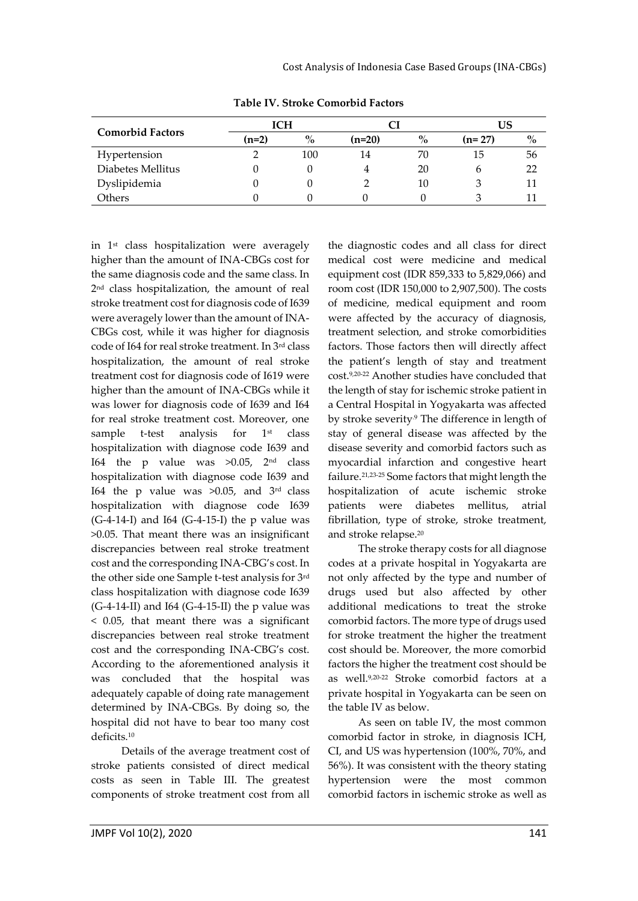|                         |         | ICH  |          |      |          | US   |  |
|-------------------------|---------|------|----------|------|----------|------|--|
| <b>Comorbid Factors</b> | $(n=2)$ | $\%$ | $(n=20)$ | $\%$ | $(n=27)$ | $\%$ |  |
| Hypertension            |         | 100  | 14       | 70   | 15       | 56   |  |
| Diabetes Mellitus       |         |      |          | 20   | h        | 22   |  |
| Dyslipidemia            |         |      |          | 10   | 3        |      |  |
| <b>Others</b>           |         |      |          |      |          |      |  |

**Table IV. Stroke Comorbid Factors**

in 1<sup>st</sup> class hospitalization were averagely higher than the amount of INA-CBGs cost for the same diagnosis code and the same class. In 2 nd class hospitalization, the amount of real stroke treatment cost for diagnosis code of I639 were averagely lower than the amount of INA-CBGs cost, while it was higher for diagnosis code of I64 for real stroke treatment. In 3rd class hospitalization, the amount of real stroke treatment cost for diagnosis code of I619 were higher than the amount of INA-CBGs while it was lower for diagnosis code of I639 and I64 for real stroke treatment cost. Moreover, one sample t-test analysis for  $1<sup>st</sup>$  class hospitalization with diagnose code I639 and I64 the p value was  $>0.05$ ,  $2<sup>nd</sup>$  class hospitalization with diagnose code I639 and I64 the p value was  $>0.05$ , and  $3<sup>rd</sup>$  class hospitalization with diagnose code I639  $(G-4-14-I)$  and I64  $(G-4-15-I)$  the p value was >0.05. That meant there was an insignificant discrepancies between real stroke treatment cost and the corresponding INA-CBG's cost. In the other side one Sample t-test analysis for 3rd class hospitalization with diagnose code I639  $(G-4-14-II)$  and I64  $(G-4-15-II)$  the p value was < 0.05, that meant there was a significant discrepancies between real stroke treatment cost and the corresponding INA-CBG's cost. According to the aforementioned analysis it was concluded that the hospital was adequately capable of doing rate management determined by INA-CBGs. By doing so, the hospital did not have to bear too many cost deficits.<sup>10</sup>

Details of the average treatment cost of stroke patients consisted of direct medical costs as seen in Table III. The greatest components of stroke treatment cost from all

the diagnostic codes and all class for direct medical cost were medicine and medical equipment cost (IDR 859,333 to 5,829,066) and room cost (IDR 150,000 to 2,907,500). The costs of medicine, medical equipment and room were affected by the accuracy of diagnosis, treatment selection, and stroke comorbidities factors. Those factors then will directly affect the patient's length of stay and treatment cost.9,20-22 Another studies have concluded that the length of stay for ischemic stroke patient in a Central Hospital in Yogyakarta was affected by stroke severity.9 The difference in length of stay of general disease was affected by the disease severity and comorbid factors such as myocardial infarction and congestive heart failure.21,23-25 Some factors that might length the hospitalization of acute ischemic stroke patients were diabetes mellitus, atrial fibrillation, type of stroke, stroke treatment, and stroke relapse.<sup>20</sup>

The stroke therapy costs for all diagnose codes at a private hospital in Yogyakarta are not only affected by the type and number of drugs used but also affected by other additional medications to treat the stroke comorbid factors. The more type of drugs used for stroke treatment the higher the treatment cost should be. Moreover, the more comorbid factors the higher the treatment cost should be as well.9,20-22 Stroke comorbid factors at a private hospital in Yogyakarta can be seen on the table IV as below.

As seen on table IV, the most common comorbid factor in stroke, in diagnosis ICH, CI, and US was hypertension (100%, 70%, and 56%). It was consistent with the theory stating hypertension were the most common comorbid factors in ischemic stroke as well as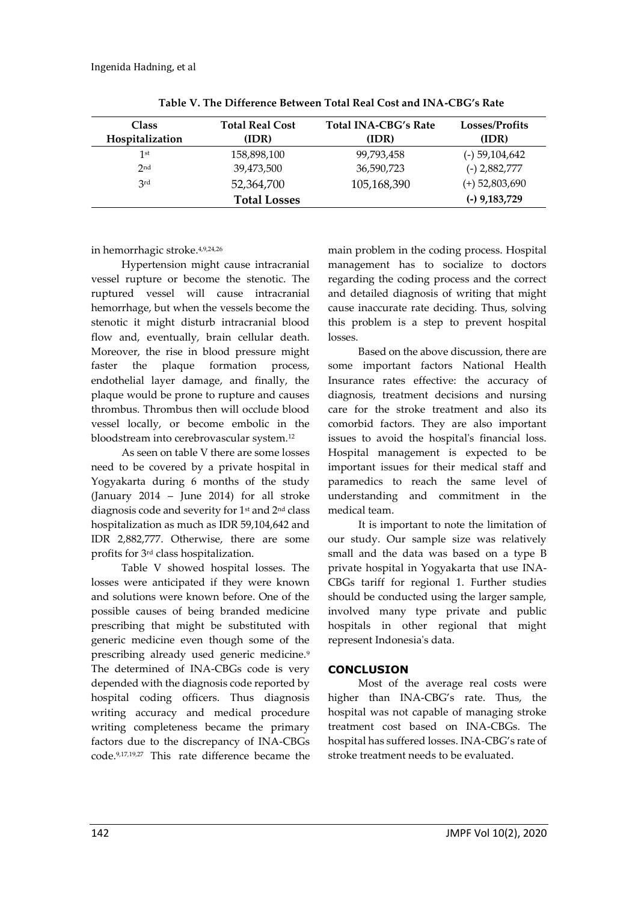| <b>Class</b><br>Hospitalization | <b>Total Real Cost</b><br>(IDR) | <b>Total INA-CBG's Rate</b><br>(IDR) | Losses/Profits<br>(IDR) |
|---------------------------------|---------------------------------|--------------------------------------|-------------------------|
| 1 <sup>st</sup>                 | 158,898,100                     | 99,793,458                           | $(-)$ 59,104,642        |
| 2 <sub>nd</sub>                 | 39,473,500                      | 36,590,723                           | $(-)$ 2,882,777         |
| 3rd                             | 52,364,700                      | 105,168,390                          | $(+)$ 52,803,690        |
|                                 | <b>Total Losses</b>             |                                      | $(-)$ 9,183,729         |

**Table V. The Difference Between Total Real Cost and INA-CBG's Rate**

in hemorrhagic stroke. 4,9,24,26

Hypertension might cause intracranial vessel rupture or become the stenotic. The ruptured vessel will cause intracranial hemorrhage, but when the vessels become the stenotic it might disturb intracranial blood flow and, eventually, brain cellular death. Moreover, the rise in blood pressure might faster the plaque formation process, endothelial layer damage, and finally, the plaque would be prone to rupture and causes thrombus. Thrombus then will occlude blood vessel locally, or become embolic in the bloodstream into cerebrovascular system.<sup>12</sup>

As seen on table V there are some losses need to be covered by a private hospital in Yogyakarta during 6 months of the study (January 2014 – June 2014) for all stroke diagnosis code and severity for 1st and 2nd class hospitalization as much as IDR 59,104,642 and IDR 2,882,777. Otherwise, there are some profits for 3rd class hospitalization.

Table V showed hospital losses. The losses were anticipated if they were known and solutions were known before. One of the possible causes of being branded medicine prescribing that might be substituted with generic medicine even though some of the prescribing already used generic medicine.<sup>9</sup> The determined of INA-CBGs code is very depended with the diagnosis code reported by hospital coding officers. Thus diagnosis writing accuracy and medical procedure writing completeness became the primary factors due to the discrepancy of INA-CBGs code.9,17,19,27 This rate difference became the main problem in the coding process. Hospital management has to socialize to doctors regarding the coding process and the correct and detailed diagnosis of writing that might cause inaccurate rate deciding. Thus, solving this problem is a step to prevent hospital losses.

Based on the above discussion, there are some important factors National Health Insurance rates effective: the accuracy of diagnosis, treatment decisions and nursing care for the stroke treatment and also its comorbid factors. They are also important issues to avoid the hospital's financial loss. Hospital management is expected to be important issues for their medical staff and paramedics to reach the same level of understanding and commitment in the medical team.

It is important to note the limitation of our study. Our sample size was relatively small and the data was based on a type B private hospital in Yogyakarta that use INA-CBGs tariff for regional 1. Further studies should be conducted using the larger sample, involved many type private and public hospitals in other regional that might represent Indonesia's data.

# **CONCLUSION**

Most of the average real costs were higher than INA-CBG's rate. Thus, the hospital was not capable of managing stroke treatment cost based on INA-CBGs. The hospital has suffered losses. INA-CBG's rate of stroke treatment needs to be evaluated.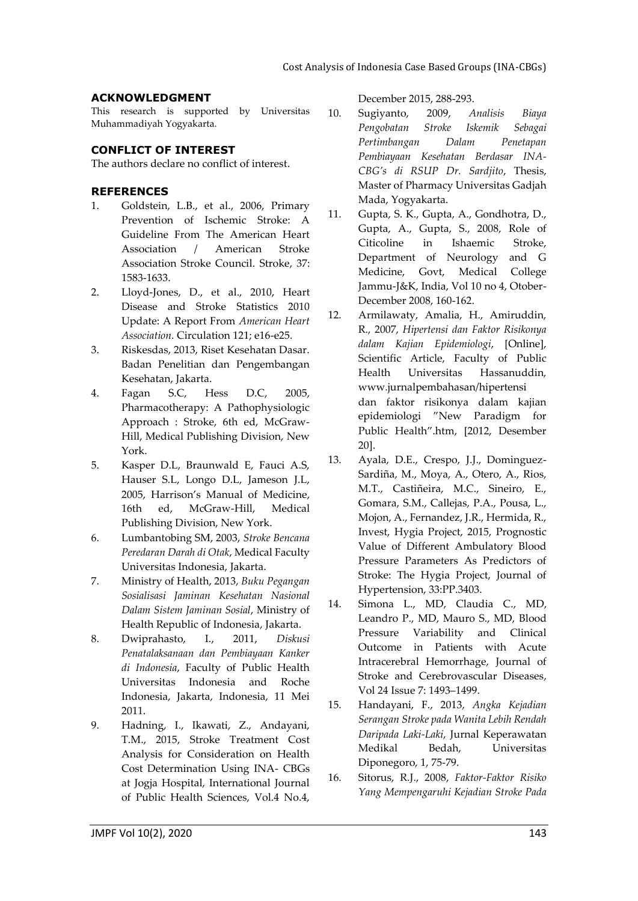#### **ACKNOWLEDGMENT**

This research is supported by Universitas Muhammadiyah Yogyakarta.

# **CONFLICT OF INTEREST**

The authors declare no conflict of interest.

#### **REFERENCES**

- 1. Goldstein, L.B., et al., 2006, Primary Prevention of Ischemic Stroke: A Guideline From The American Heart Association / American Stroke Association Stroke Council. Stroke, 37: 1583-1633.
- 2. Lloyd-Jones, D., et al., 2010, Heart Disease and Stroke Statistics 2010 Update: A Report From *American Heart Association*. Circulation 121; e16-e25.
- 3. Riskesdas, 2013, Riset Kesehatan Dasar. Badan Penelitian dan Pengembangan Kesehatan, Jakarta.
- 4. Fagan S.C, Hess D.C, 2005, Pharmacotherapy: A Pathophysiologic Approach : Stroke, 6th ed, McGraw-Hill, Medical Publishing Division, New York.
- 5. Kasper D.L, Braunwald E, Fauci A.S, Hauser S.L, Longo D.L, Jameson J.L, 2005, Harrison's Manual of Medicine, 16th ed, McGraw-Hill, Medical Publishing Division, New York.
- 6. Lumbantobing SM, 2003, *Stroke Bencana Peredaran Darah di Otak*, Medical Faculty Universitas Indonesia, Jakarta.
- 7. Ministry of Health, 2013, *Buku Pegangan Sosialisasi Jaminan Kesehatan Nasional Dalam Sistem Jaminan Sosial*, Ministry of Health Republic of Indonesia, Jakarta.
- 8. Dwiprahasto, I., 2011, *Diskusi Penatalaksanaan dan Pembiayaan Kanker di Indonesia*, Faculty of Public Health Universitas Indonesia and Roche Indonesia, Jakarta, Indonesia, 11 Mei 2011.
- 9. Hadning, I., Ikawati, Z., Andayani, T.M., 2015, Stroke Treatment Cost Analysis for Consideration on Health Cost Determination Using INA- CBGs at Jogja Hospital, International Journal of Public Health Sciences, Vol.4 No.4,

December 2015, 288-293.

- 10. Sugiyanto, 2009, *Analisis Biaya Pengobatan Stroke Iskemik Sebagai Pertimbangan Dalam Penetapan Pembiayaan Kesehatan Berdasar INA-CBG's di RSUP Dr. Sardjito*, Thesis, Master of Pharmacy Universitas Gadjah Mada, Yogyakarta.
- 11. Gupta, S. K., Gupta, A., Gondhotra, D., Gupta, A., Gupta, S., 2008, Role of Citicoline in Ishaemic Stroke, Department of Neurology and G Medicine, Govt, Medical College Jammu-J&K, India, Vol 10 no 4, Otober-December 2008, 160-162.
- 12. Armilawaty, Amalia, H., Amiruddin, R., 2007, *Hipertensi dan Faktor Risikonya dalam Kajian Epidemiologi*, [Online], Scientific Article, Faculty of Public Health Universitas Hassanuddin, www.jurnalpembahasan/hipertensi dan faktor risikonya dalam kajian epidemiologi "New Paradigm for Public Health".htm, [2012, Desember 20].
- 13. Ayala, D.E., Crespo, J.J., Dominguez-Sardiña, M., Moya, A., Otero, A., Rios, M.T., Castiñeira, M.C., Sineiro, E., Gomara, S.M., Callejas, P.A., Pousa, L., Mojon, A., Fernandez, J.R., Hermida, R., Invest, Hygia Project, 2015, Prognostic Value of Different Ambulatory Blood Pressure Parameters As Predictors of Stroke: The Hygia Project, Journal of Hypertension, 33:PP.3403.
- 14. [Simona L.](http://www.sciencedirect.com/science/article/pii/S1052305715001263), MD, [Claudia C.](http://www.sciencedirect.com/science/article/pii/S1052305715001263), MD, [Leandro P.,](http://www.sciencedirect.com/science/article/pii/S1052305715001263) MD, [Mauro S.](http://www.sciencedirect.com/science/article/pii/S1052305715001263), MD, Blood Pressure Variability and Clinical Outcome in Patients with Acute Intracerebral Hemorrhage, [Journal of](http://www.sciencedirect.com/science/journal/10523057)  [Stroke and Cerebrovascular Diseases,](http://www.sciencedirect.com/science/journal/10523057) [Vol 24 Issue 7:](http://www.sciencedirect.com/science/journal/10523057/24/7) 1493–1499.
- 15. Handayani, F., 2013, *Angka Kejadian Serangan Stroke pada Wanita Lebih Rendah Daripada Laki-Laki*, Jurnal Keperawatan Medikal Bedah, Universitas Diponegoro, 1, 75-79.
- 16. Sitorus, R.J., 2008, *Faktor-Faktor Risiko Yang Mempengaruhi Kejadian Stroke Pada*